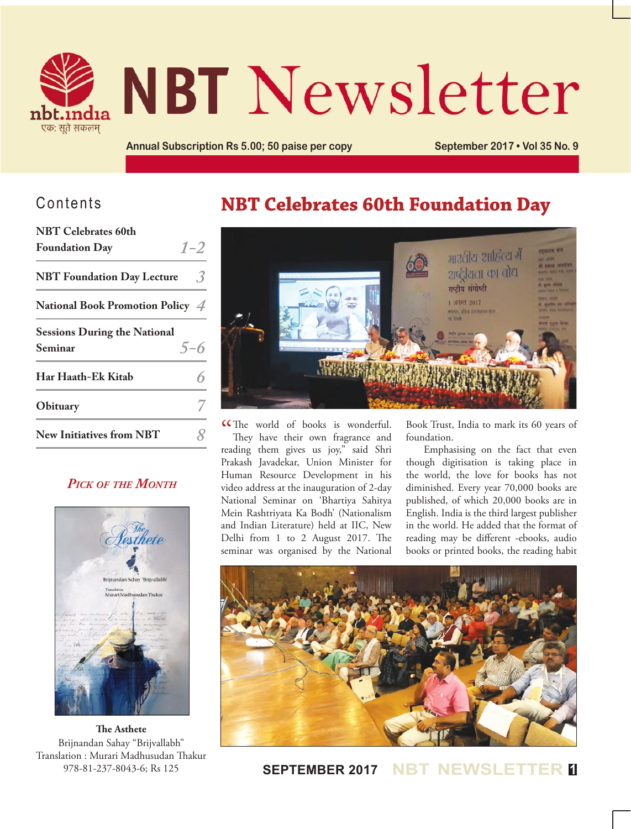

# **NBT Newsletter**

**Annual Subscription Rs 5.00; 50 paise per copy September 2017 • Vol 35 No. 9**

## Contents

| <b>NBT</b> Celebrates 60th          |         |
|-------------------------------------|---------|
| <b>Foundation Day</b>               | $1 - 2$ |
| <b>NBT</b> Foundation Day Lecture   | 3.      |
| National Book Promotion Policy 4    |         |
| <b>Sessions During the National</b> |         |
| Seminar                             | $5 - 6$ |
| Har Haath-Ek Kitab                  |         |
| Obituary                            |         |
| <b>New Initiatives from NBT</b>     |         |

### *Pick of the Month*



**The Asthete** Brijnandan Sahay "Brijvallabh" Translation : Murari Madhusudan Thakur 978-81-237-8043-6; Rs 125

## **NBT Celebrates 60th Foundation Day**



CThe world of books is wonderful.<br>They have their own fragrance and They have their own fragrance and reading them gives us joy," said Shri Prakash Javadekar, Union Minister for Human Resource Development in his video address at the inauguration of 2-day National Seminar on 'Bhartiya Sahitya Mein Rashtriyata Ka Bodh' (Nationalism and Indian Literature) held at IIC, New Delhi from 1 to 2 August 2017. The seminar was organised by the National

Book Trust, India to mark its 60 years of foundation.

Emphasising on the fact that even though digitisation is taking place in the world, the love for books has not diminished. Every year 70,000 books are published, of which 20,000 books are in English. India is the third largest publisher in the world. He added that the format of reading may be different -ebooks, audio books or printed books, the reading habit



**SEPTEMBER 2017 NBT NEWSLET**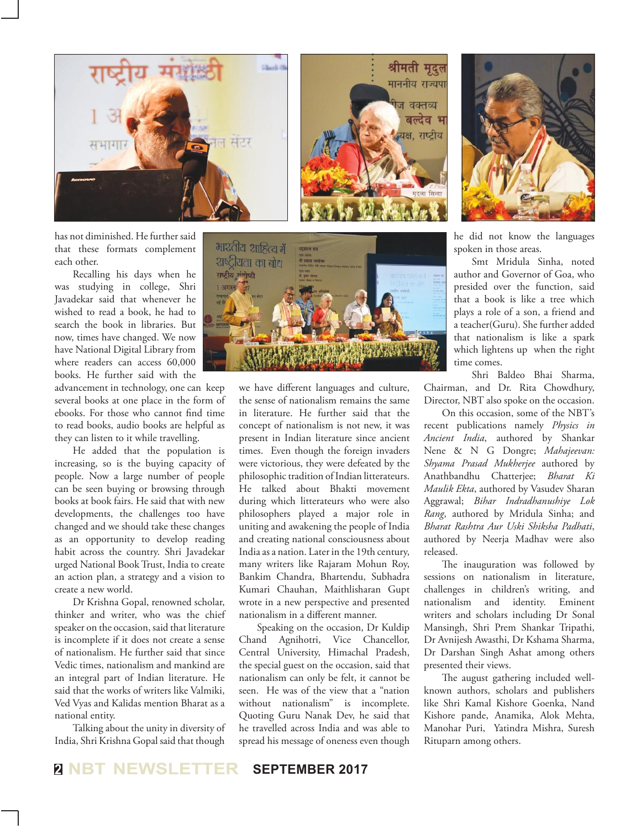

has not diminished. He further said that these formats complement each other.

Recalling his days when he was studying in college, Shri Javadekar said that whenever he wished to read a book, he had to search the book in libraries. But now, times have changed. We now have National Digital Library from where readers can access 60,000 books. He further said with the

advancement in technology, one can keep several books at one place in the form of ebooks. For those who cannot find time to read books, audio books are helpful as they can listen to it while travelling.

He added that the population is increasing, so is the buying capacity of people. Now a large number of people can be seen buying or browsing through books at book fairs. He said that with new developments, the challenges too have changed and we should take these changes as an opportunity to develop reading habit across the country. Shri Javadekar urged National Book Trust, India to create an action plan, a strategy and a vision to create a new world.

Dr Krishna Gopal, renowned scholar, thinker and writer, who was the chief speaker on the occasion, said that literature is incomplete if it does not create a sense of nationalism. He further said that since Vedic times, nationalism and mankind are an integral part of Indian literature. He said that the works of writers like Valmiki, Ved Vyas and Kalidas mention Bharat as a national entity.

Talking about the unity in diversity of India, Shri Krishna Gopal said that though



we have different languages and culture, the sense of nationalism remains the same in literature. He further said that the concept of nationalism is not new, it was present in Indian literature since ancient times. Even though the foreign invaders were victorious, they were defeated by the philosophic tradition of Indian litterateurs. He talked about Bhakti movement during which litterateurs who were also philosophers played a major role in uniting and awakening the people of India and creating national consciousness about India as a nation. Later in the 19th century, many writers like Rajaram Mohun Roy, Bankim Chandra, Bhartendu, Subhadra Kumari Chauhan, Maithlisharan Gupt wrote in a new perspective and presented nationalism in a different manner.

Speaking on the occasion, Dr Kuldip Chand Agnihotri, Vice Chancellor, Central University, Himachal Pradesh, the special guest on the occasion, said that nationalism can only be felt, it cannot be seen. He was of the view that a "nation without nationalism" is incomplete. Quoting Guru Nanak Dev, he said that he travelled across India and was able to spread his message of oneness even though



श्रीमती मृदुल माननीय राज्यपा

> ज वक्तव्य बल्देव भ क्ष. राष्टीय

> > he did not know the languages spoken in those areas.

Smt Mridula Sinha, noted author and Governor of Goa, who presided over the function, said that a book is like a tree which plays a role of a son, a friend and a teacher(Guru). She further added that nationalism is like a spark which lightens up when the right time comes.

Shri Baldeo Bhai Sharma, Chairman, and Dr. Rita Chowdhury, Director, NBT also spoke on the occasion.

On this occasion, some of the NBT's recent publications namely *Physics in Ancient India*, authored by Shankar Nene & N G Dongre; *Mahajeevan: Shyama Prasad Mukherjee* authored by Anathbandhu Chatterjee; *Bharat Ki Maulik Ekta*, authored by Vasudev Sharan Aggrawal; *Bihar Indradhanushiye Lok Rang*, authored by Mridula Sinha; and *Bharat Rashtra Aur Uski Shiksha Padhati*, authored by Neerja Madhav were also released.

The inauguration was followed by sessions on nationalism in literature, challenges in children's writing, and nationalism and identity. Eminent writers and scholars including Dr Sonal Mansingh, Shri Prem Shankar Tripathi, Dr Avnijesh Awasthi, Dr Kshama Sharma, Dr Darshan Singh Ashat among others presented their views.

The august gathering included wellknown authors, scholars and publishers like Shri Kamal Kishore Goenka, Nand Kishore pande, Anamika, Alok Mehta, Manohar Puri, Yatindra Mishra, Suresh Rituparn among others.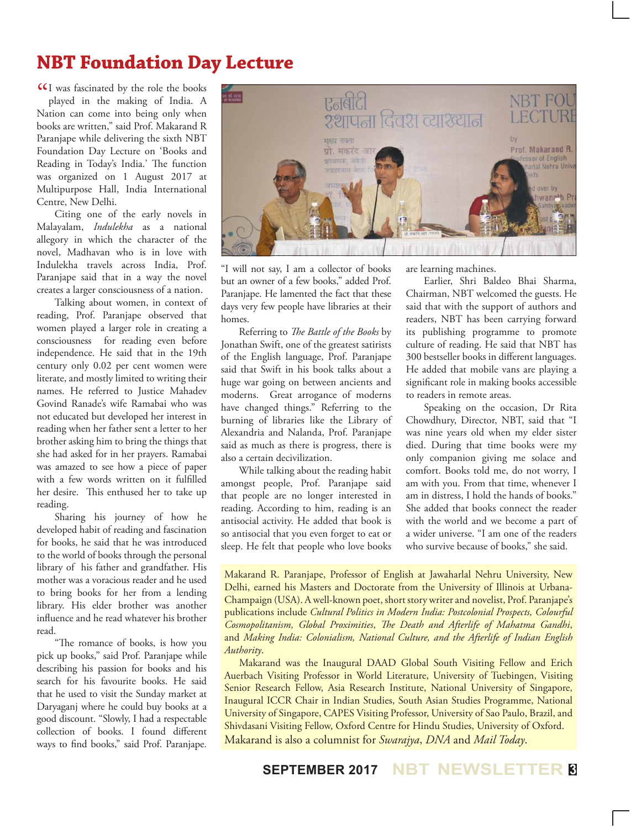## **NBT Foundation Day Lecture**

**ICI** was fascinated by the role the books<br>played in the making of India. A played in the making of India. A Nation can come into being only when books are written," said Prof. Makarand R Paranjape while delivering the sixth NBT Foundation Day Lecture on 'Books and Reading in Today's India.' The function was organized on 1 August 2017 at Multipurpose Hall, India International Centre, New Delhi.

Citing one of the early novels in Malayalam, *Indulekha* as a national allegory in which the character of the novel, Madhavan who is in love with Indulekha travels across India, Prof. Paranjape said that in a way the novel creates a larger consciousness of a nation.

Talking about women, in context of reading, Prof. Paranjape observed that women played a larger role in creating a consciousness for reading even before independence. He said that in the 19th century only 0.02 per cent women were literate, and mostly limited to writing their names. He referred to Justice Mahadev Govind Ranade's wife Ramabai who was not educated but developed her interest in reading when her father sent a letter to her brother asking him to bring the things that she had asked for in her prayers. Ramabai was amazed to see how a piece of paper with a few words written on it fulfilled her desire. This enthused her to take up reading.

Sharing his journey of how he developed habit of reading and fascination for books, he said that he was introduced to the world of books through the personal library of his father and grandfather. His mother was a voracious reader and he used to bring books for her from a lending library. His elder brother was another influence and he read whatever his brother read.

"The romance of books, is how you pick up books," said Prof. Paranjape while describing his passion for books and his search for his favourite books. He said that he used to visit the Sunday market at Daryaganj where he could buy books at a good discount. "Slowly, I had a respectable collection of books. I found different ways to find books," said Prof. Paranjape.



"I will not say, I am a collector of books but an owner of a few books," added Prof. Paranjape. He lamented the fact that these days very few people have libraries at their homes.

Referring to *The Battle of the Books* by Jonathan Swift, one of the greatest satirists of the English language, Prof. Paranjape said that Swift in his book talks about a huge war going on between ancients and moderns. Great arrogance of moderns have changed things." Referring to the burning of libraries like the Library of Alexandria and Nalanda, Prof. Paranjape said as much as there is progress, there is also a certain decivilization.

While talking about the reading habit amongst people, Prof. Paranjape said that people are no longer interested in reading. According to him, reading is an antisocial activity. He added that book is so antisocial that you even forget to eat or sleep. He felt that people who love books

are learning machines.

Earlier, Shri Baldeo Bhai Sharma, Chairman, NBT welcomed the guests. He said that with the support of authors and readers, NBT has been carrying forward its publishing programme to promote culture of reading. He said that NBT has 300 bestseller books in different languages. He added that mobile vans are playing a significant role in making books accessible to readers in remote areas.

Speaking on the occasion, Dr Rita Chowdhury, Director, NBT, said that "I was nine years old when my elder sister died. During that time books were my only companion giving me solace and comfort. Books told me, do not worry, I am with you. From that time, whenever I am in distress, I hold the hands of books." She added that books connect the reader with the world and we become a part of a wider universe. "I am one of the readers who survive because of books," she said.

Makarand R. Paranjape, Professor of English at Jawaharlal Nehru University, New Delhi, earned his Masters and Doctorate from the University of Illinois at Urbana-Champaign (USA). A well-known poet, short story writer and novelist, Prof. Paranjape's publications include *Cultural Politics in Modern India: Postcolonial Prospects, Colourful Cosmopolitanism, Global Proximities*, *The Death and Afterlife of Mahatma Gandhi*, and *Making India: Colonialism, National Culture, and the Afterlife of Indian English Authority*.

 Makarand was the Inaugural DAAD Global South Visiting Fellow and Erich Auerbach Visiting Professor in World Literature, University of Tuebingen, Visiting Senior Research Fellow, Asia Research Institute, National University of Singapore, Inaugural ICCR Chair in Indian Studies, South Asian Studies Programme, National University of Singapore, CAPES Visiting Professor, University of Sao Paulo, Brazil, and Shivdasani Visiting Fellow, Oxford Centre for Hindu Studies, University of Oxford. Makarand is also a columnist for *Swarajya*, *DNA* and *Mail Today*.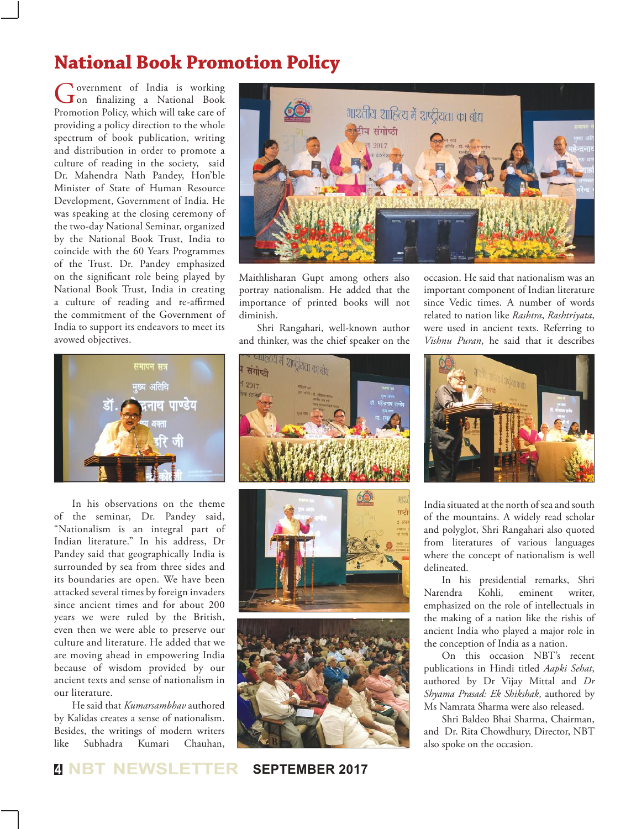## **National Book Promotion Policy**

Government of India is working<br>
on finalizing a National Book Promotion Policy, which will take care of providing a policy direction to the whole spectrum of book publication, writing and distribution in order to promote a culture of reading in the society, said Dr. Mahendra Nath Pandey, Hon'ble Minister of State of Human Resource Development, Government of India. He was speaking at the closing ceremony of the two-day National Seminar, organized by the National Book Trust, India to coincide with the 60 Years Programmes of the Trust. Dr. Pandey emphasized on the significant role being played by National Book Trust, India in creating a culture of reading and re-affirmed the commitment of the Government of India to support its endeavors to meet its avowed objectives.



In his observations on the theme of the seminar, Dr. Pandey said, "Nationalism is an integral part of Indian literature." In his address, Dr Pandey said that geographically India is surrounded by sea from three sides and its boundaries are open. We have been attacked several times by foreign invaders since ancient times and for about 200 years we were ruled by the British, even then we were able to preserve our culture and literature. He added that we are moving ahead in empowering India because of wisdom provided by our ancient texts and sense of nationalism in our literature.

He said that *Kumarsambhav* authored by Kalidas creates a sense of nationalism. Besides, the writings of modern writers like Subhadra Kumari Chauhan,



Maithlisharan Gupt among others also portray nationalism. He added that the importance of printed books will not diminish.

Shri Rangahari, well-known author and thinker, was the chief speaker on the







occasion. He said that nationalism was an important component of Indian literature since Vedic times. A number of words related to nation like *Rashtra*, *Rashtriyata*, were used in ancient texts. Referring to *Vishnu Puran*, he said that it describes



India situated at the north of sea and south of the mountains. A widely read scholar and polyglot, Shri Rangahari also quoted from literatures of various languages where the concept of nationalism is well delineated.

In his presidential remarks, Shri Narendra Kohli, eminent writer, emphasized on the role of intellectuals in the making of a nation like the rishis of ancient India who played a major role in the conception of India as a nation.

On this occasion NBT's recent publications in Hindi titled *Aapki Sehat*, authored by Dr Vijay Mittal and *Dr Shyama Prasad: Ek Shikshak*, authored by Ms Namrata Sharma were also released.

Shri Baldeo Bhai Sharma, Chairman, and Dr. Rita Chowdhury, Director, NBT also spoke on the occasion.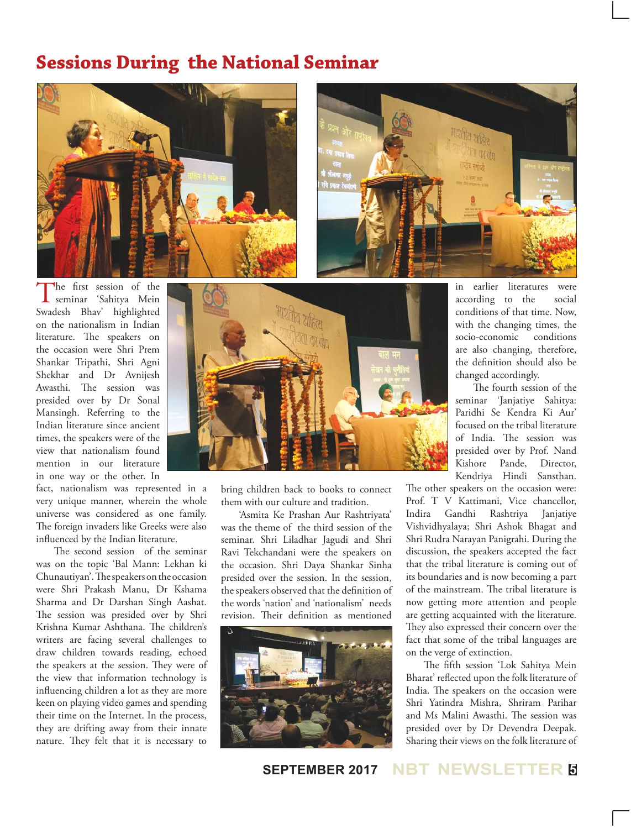## **Sessions During the National Seminar**





The first session of the<br>
seminar 'Sahitya Mein<br>
Seminar 'Ali Li Li Li Li Swadesh Bhav' highlighted on the nationalism in Indian literature. The speakers on the occasion were Shri Prem Shankar Tripathi, Shri Agni Shekhar and Dr Avnijesh Awasthi. The session was presided over by Dr Sonal Mansingh. Referring to the Indian literature since ancient times, the speakers were of the view that nationalism found mention in our literature in one way or the other. In

fact, nationalism was represented in a very unique manner, wherein the whole universe was considered as one family. The foreign invaders like Greeks were also influenced by the Indian literature.

The second session of the seminar was on the topic 'Bal Mann: Lekhan ki Chunautiyan'. The speakers on the occasion were Shri Prakash Manu, Dr Kshama Sharma and Dr Darshan Singh Aashat. The session was presided over by Shri Krishna Kumar Ashthana. The children's writers are facing several challenges to draw children towards reading, echoed the speakers at the session. They were of the view that information technology is influencing children a lot as they are more keen on playing video games and spending their time on the Internet. In the process, they are drifting away from their innate nature. They felt that it is necessary to



bring children back to books to connect them with our culture and tradition.

'Asmita Ke Prashan Aur Rashtriyata' was the theme of the third session of the seminar. Shri Liladhar Jagudi and Shri Ravi Tekchandani were the speakers on the occasion. Shri Daya Shankar Sinha presided over the session. In the session, the speakers observed that the definition of the words 'nation' and 'nationalism' needs revision. Their definition as mentioned



in earlier literatures were according to the social conditions of that time. Now, with the changing times, the socio-economic conditions are also changing, therefore, the definition should also be changed accordingly.

The fourth session of the seminar 'Janjatiye Sahitya: Paridhi Se Kendra Ki Aur' focused on the tribal literature of India. The session was presided over by Prof. Nand Kishore Pande, Director, Kendriya Hindi Sansthan.

The other speakers on the occasion were: Prof. T V Kattimani, Vice chancellor, Indira Gandhi Rashtriya Janjatiye Vishvidhyalaya; Shri Ashok Bhagat and Shri Rudra Narayan Panigrahi. During the discussion, the speakers accepted the fact that the tribal literature is coming out of its boundaries and is now becoming a part of the mainstream. The tribal literature is now getting more attention and people are getting acquainted with the literature. They also expressed their concern over the fact that some of the tribal languages are on the verge of extinction.

The fifth session 'Lok Sahitya Mein Bharat' reflected upon the folk literature of India. The speakers on the occasion were Shri Yatindra Mishra, Shriram Parihar and Ms Malini Awasthi. The session was presided over by Dr Devendra Deepak. Sharing their views on the folk literature of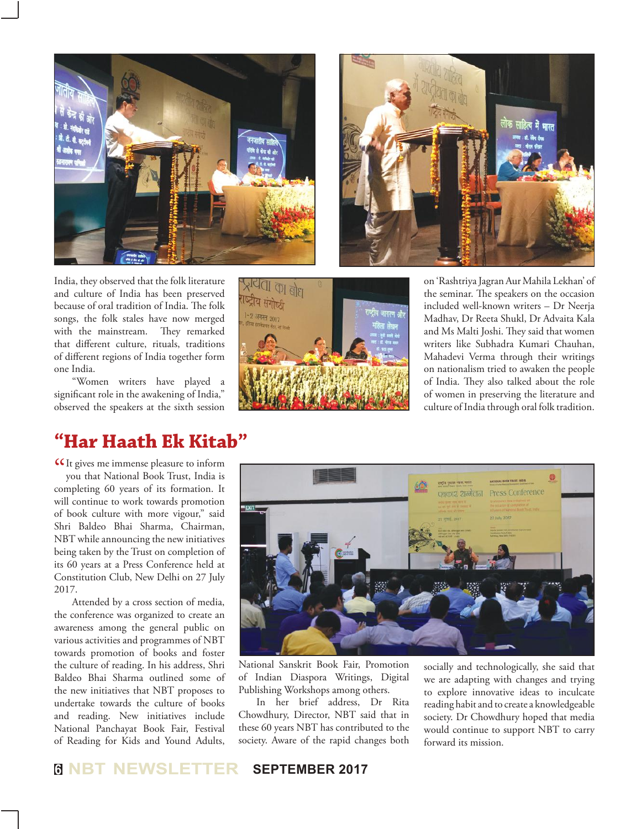



India, they observed that the folk literature and culture of India has been preserved because of oral tradition of India. The folk songs, the folk stales have now merged with the mainstream. They remarked that different culture, rituals, traditions of different regions of India together form one India.

"Women writers have played a significant role in the awakening of India," observed the speakers at the sixth session

## **"Har Haath Ek Kitab"**

**It gives me immense pleasure to inform**<br>you that National Book Trust, India is you that National Book Trust, India is completing 60 years of its formation. It will continue to work towards promotion of book culture with more vigour," said Shri Baldeo Bhai Sharma, Chairman, NBT while announcing the new initiatives being taken by the Trust on completion of its 60 years at a Press Conference held at Constitution Club, New Delhi on 27 July 2017.

Attended by a cross section of media, the conference was organized to create an awareness among the general public on various activities and programmes of NBT towards promotion of books and foster the culture of reading. In his address, Shri Baldeo Bhai Sharma outlined some of the new initiatives that NBT proposes to undertake towards the culture of books and reading. New initiatives include National Panchayat Book Fair, Festival of Reading for Kids and Yound Adults,



on 'Rashtriya Jagran Aur Mahila Lekhan' of the seminar. The speakers on the occasion included well-known writers – Dr Neerja Madhav, Dr Reeta Shukl, Dr Advaita Kala and Ms Malti Joshi. They said that women writers like Subhadra Kumari Chauhan, Mahadevi Verma through their writings on nationalism tried to awaken the people of India. They also talked about the role of women in preserving the literature and culture of India through oral folk tradition.



National Sanskrit Book Fair, Promotion of Indian Diaspora Writings, Digital Publishing Workshops among others.

In her brief address, Dr Rita Chowdhury, Director, NBT said that in these 60 years NBT has contributed to the society. Aware of the rapid changes both socially and technologically, she said that we are adapting with changes and trying to explore innovative ideas to inculcate reading habit and to create a knowledgeable society. Dr Chowdhury hoped that media would continue to support NBT to carry forward its mission.

## **<sup>6</sup> NBT NEWSLETTER SEPTEMBER 2017**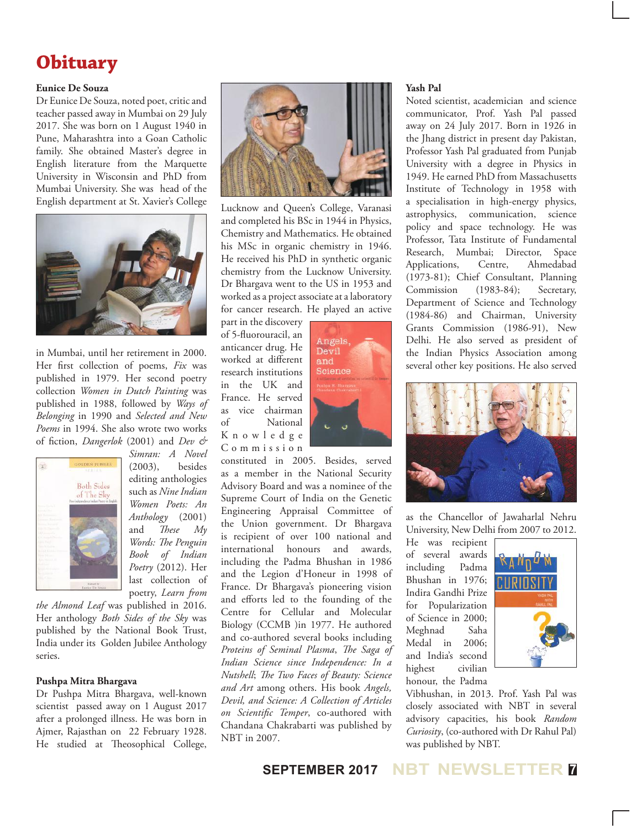## **Obituary**

#### **Eunice De Souza**

Dr Eunice De Souza, noted poet, critic and teacher passed away in Mumbai on 29 July 2017. She was born on 1 August 1940 in Pune, Maharashtra into a Goan Catholic family. She obtained Master's degree in English literature from the Marquette University in Wisconsin and PhD from Mumbai University. She was head of the English department at St. Xavier's College



in Mumbai, until her retirement in 2000. Her first collection of poems, *Fix* was published in 1979. Her second poetry collection *Women in Dutch Painting* was published in 1988, followed by *Ways of Belonging* in 1990 and *Selected and New Poems* in 1994. She also wrote two works of fiction, *Dangerlok* (2001) and *Dev &* 



*Simran: A Novel*  (2003), besides editing anthologies such as *Nine Indian Women Poets: An Anthology* (2001) and *These My Words: The Penguin Book of Indian Poetry* (2012). Her last collection of poetry, *Learn from* 

*the Almond Leaf* was published in 2016. Her anthology *Both Sides of the Sky* was published by the National Book Trust, India under its Golden Jubilee Anthology series.

#### **Pushpa Mitra Bhargava**

Dr Pushpa Mitra Bhargava, well-known scientist passed away on 1 August 2017 after a prolonged illness. He was born in Ajmer, Rajasthan on 22 February 1928. He studied at Theosophical College,



Lucknow and Queen's College, Varanasi and completed his BSc in 1944 in Physics, Chemistry and Mathematics. He obtained his MSc in organic chemistry in 1946. He received his PhD in synthetic organic chemistry from the Lucknow University. Dr Bhargava went to the US in 1953 and worked as a project associate at a laboratory for cancer research. He played an active

part in the discovery of 5-fluorouracil, an anticancer drug. He worked at different research institutions in the UK and France. He served as vice chairman of National K n o w l e d g e C o m m i s s i o n



constituted in 2005. Besides, served as a member in the National Security Advisory Board and was a nominee of the Supreme Court of India on the Genetic Engineering Appraisal Committee of the Union government. Dr Bhargava is recipient of over 100 national and international honours and awards, including the Padma Bhushan in 1986 and the Legion d'Honeur in 1998 of France. Dr Bhargava's pioneering vision and efforts led to the founding of the Centre for Cellular and Molecular Biology (CCMB )in 1977. He authored and co-authored several books including *Proteins of Seminal Plasma*, *The Saga of Indian Science since Independence: In a Nutshell*; *The Two Faces of Beauty: Science and Art* among others. His book *Angels, Devil, and Science: A Collection of Articles on Scientific Temper*, co-authored with Chandana Chakrabarti was published by NBT in 2007.

#### **Yash Pal**

Noted scientist, academician and science communicator, Prof. Yash Pal passed away on 24 July 2017. Born in 1926 in the Jhang district in present day Pakistan, Professor Yash Pal graduated from Punjab University with a degree in Physics in 1949. He earned PhD from Massachusetts Institute of Technology in 1958 with a specialisation in high-energy physics, astrophysics, communication, science policy and space technology. He was Professor, Tata Institute of Fundamental Research, Mumbai; Director, Space Applications, Centre, Ahmedabad (1973-81); Chief Consultant, Planning Commission (1983-84); Secretary, Department of Science and Technology (1984-86) and Chairman, University Grants Commission (1986-91), New Delhi. He also served as president of the Indian Physics Association among several other key positions. He also served



as the Chancellor of Jawaharlal Nehru University, New Delhi from 2007 to 2012.

He was recipient of several awards including Padma Bhushan in 1976; Indira Gandhi Prize for Popularization of Science in 2000; Meghnad Saha Medal in 2006; and India's second highest civilian honour, the Padma



Vibhushan, in 2013. Prof. Yash Pal was closely associated with NBT in several advisory capacities, his book *Random Curiosity*, (co-authored with Dr Rahul Pal) was published by NBT.